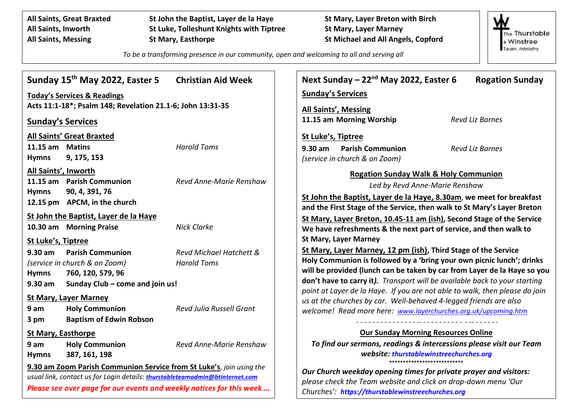**All Saints, Great Braxted St John the Baptist, Layer de la Haye St Mary, Layer Breton with Birch All Saints, Inworth St Luke, Tolleshunt Knights with Tiptree St Mary, Layer Marney All Saints, Messing St Mary, Easthorpe St Michael and All Angels, Copford**



*To be a transforming presence in our community, open and welcoming to all and serving all*

| Sunday 15 <sup>th</sup> May 2022, Easter 5                                                                                                                                                                                   | <b>Christian Aid Week</b>       | Next Sunday - 22 <sup>nd</sup> May 2022, Easter 6<br><b>Rogation Sunday</b>                                                                                                              |
|------------------------------------------------------------------------------------------------------------------------------------------------------------------------------------------------------------------------------|---------------------------------|------------------------------------------------------------------------------------------------------------------------------------------------------------------------------------------|
| <b>Today's Services &amp; Readings</b>                                                                                                                                                                                       |                                 | <b>Sunday's Services</b>                                                                                                                                                                 |
| Acts 11:1-18*; Psalm 148; Revelation 21.1-6; John 13:31-35                                                                                                                                                                   |                                 | <b>All Saints', Messing</b>                                                                                                                                                              |
| <b>Sunday's Services</b>                                                                                                                                                                                                     |                                 | 11.15 am Morning Worship<br><b>Revd Liz Barnes</b>                                                                                                                                       |
| <b>All Saints' Great Braxted</b>                                                                                                                                                                                             |                                 | St Luke's, Tiptree                                                                                                                                                                       |
| 11.15 am Matins                                                                                                                                                                                                              | <b>Harold Toms</b>              | $9.30 \text{ am}$<br><b>Parish Communion</b><br><b>Revd Liz Barnes</b>                                                                                                                   |
| 9, 175, 153<br><b>Hymns</b>                                                                                                                                                                                                  |                                 | (service in church & on Zoom)                                                                                                                                                            |
| All Saints', Inworth<br>11.15 am Parish Communion                                                                                                                                                                            | Revd Anne-Marie Renshaw         | <b>Rogation Sunday Walk &amp; Holy Communion</b><br>Led by Revd Anne-Marie Renshaw                                                                                                       |
| <b>Hymns</b><br>90, 4, 391, 76<br>12.15 pm APCM, in the church                                                                                                                                                               |                                 | St John the Baptist, Layer de la Haye, 8.30am, we meet for breakfast<br>and the First Stage of the Service, then walk to St Mary's Layer Breton                                          |
| St John the Baptist, Layer de la Haye<br>10.30 am Morning Praise                                                                                                                                                             | <b>Nick Clarke</b>              | St Mary, Layer Breton, 10.45-11 am (ish), Second Stage of the Service                                                                                                                    |
| St Luke's, Tiptree                                                                                                                                                                                                           |                                 | We have refreshments & the next part of service, and then walk to<br><b>St Mary, Layer Marney</b>                                                                                        |
| $9.30$ am<br><b>Parish Communion</b>                                                                                                                                                                                         | Revd Michael Hatchett &         | St Mary, Layer Marney, 12 pm (ish), Third Stage of the Service                                                                                                                           |
| (service in church & on Zoom)                                                                                                                                                                                                | <b>Harold Toms</b>              | Holy Communion is followed by a 'bring your own picnic lunch'; drinks                                                                                                                    |
| 760, 120, 579, 96<br><b>Hymns</b>                                                                                                                                                                                            |                                 | will be provided (lunch can be taken by car from Layer de la Haye so you<br>don't have to carry it). Transport will be available back to your starting                                   |
| $9.30$ am<br>Sunday Club - come and join us!                                                                                                                                                                                 |                                 | point at Layer de la Haye. If you are not able to walk, then please do join                                                                                                              |
| <b>St Mary, Layer Marney</b>                                                                                                                                                                                                 |                                 | us at the churches by car. Well-behaved 4-legged friends are also                                                                                                                        |
| 9 <sub>am</sub><br><b>Holy Communion</b>                                                                                                                                                                                     | <b>Revd Julia Russell Grant</b> | welcome! Read more here: www.layerchurches.org.uk/upcoming.htm                                                                                                                           |
| <b>Baptism of Edwin Robson</b><br>3 pm                                                                                                                                                                                       |                                 |                                                                                                                                                                                          |
| <b>St Mary, Easthorpe</b>                                                                                                                                                                                                    |                                 | <b>Our Sunday Morning Resources Online</b>                                                                                                                                               |
| 9 <sub>am</sub><br><b>Holy Communion</b>                                                                                                                                                                                     | Revd Anne-Marie Renshaw         | To find our sermons, readings & intercessions please visit our Team                                                                                                                      |
| 387, 161, 198<br><b>Hymns</b>                                                                                                                                                                                                |                                 | website: thurstablewinstreechurches.org                                                                                                                                                  |
| 9.30 am Zoom Parish Communion Service from St Luke's, join using the<br>usual link, contact us for Login details: thurstableteamadmin@btinternet.com<br>Please see over page for our events and weekly notices for this week |                                 | Our Church weekday opening times for private prayer and visitors:<br>please check the Team website and click on drop-down menu 'Our<br>Churches': https://thurstablewinstreechurches.org |